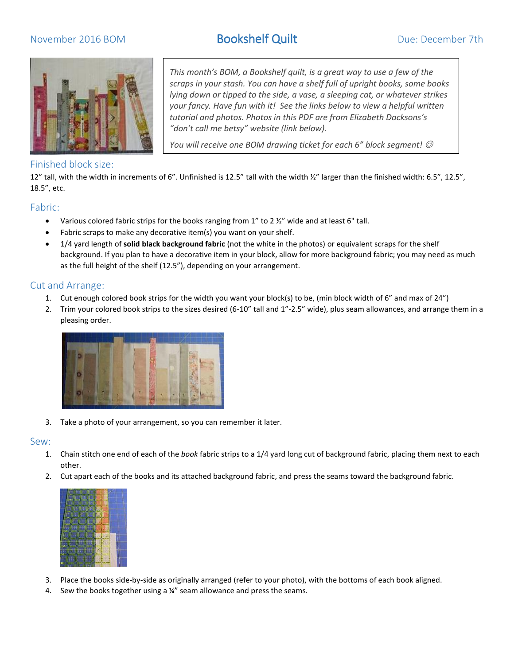# November 2016 BOM Bookshelf Quilt Bookshelf Oue: December 7th



### Finished block size:

*scraps in your stash. You can have a shelf full of upright books, some books lying down or tipped to the side, a vase, a sleeping cat, or whatever strikes your fancy. Have fun with it! See the links below to view a helpful written tutorial and photos. Photos in this PDF are from Elizabeth Dacksons's "don't call me betsy" website (link below).*

*This month's BOM, a Bookshelf quilt, is a great way to use a few of the* 

*You will receive one BOM drawing ticket for each 6" block segment!*  $\odot$ 

12" tall, with the width in increments of 6". Unfinished is 12.5" tall with the width ½" larger than the finished width: 6.5", 12.5", 18.5", etc.

### Fabric:

- Various colored fabric strips for the books ranging from  $1''$  to  $2 \frac{1}{2}''$  wide and at least 6" tall.
- Fabric scraps to make any decorative item(s) you want on your shelf.
- 1/4 yard length of **solid black background fabric** (not the white in the photos) or equivalent scraps for the shelf background. If you plan to have a decorative item in your block, allow for more background fabric; you may need as much as the full height of the shelf (12.5"), depending on your arrangement.

### Cut and Arrange:

- 1. Cut enough colored book strips for the width you want your block(s) to be, (min block width of 6" and max of 24")
- 2. Trim your colored book strips to the sizes desired (6-10" tall and 1"-2.5" wide), plus seam allowances, and arrange them in a pleasing order.



3. Take a photo of your arrangement, so you can remember it later.

### Sew:

- 1. Chain stitch one end of each of the *book* fabric strips to a 1/4 yard long cut of background fabric, placing them next to each other.
- 2. Cut apart each of the books and its attached background fabric, and press the seams toward the background fabric.



- 3. Place the books side-by-side as originally arranged (refer to your photo), with the bottoms of each book aligned.
- 4. Sew the books together using a ¼" seam allowance and press the seams.